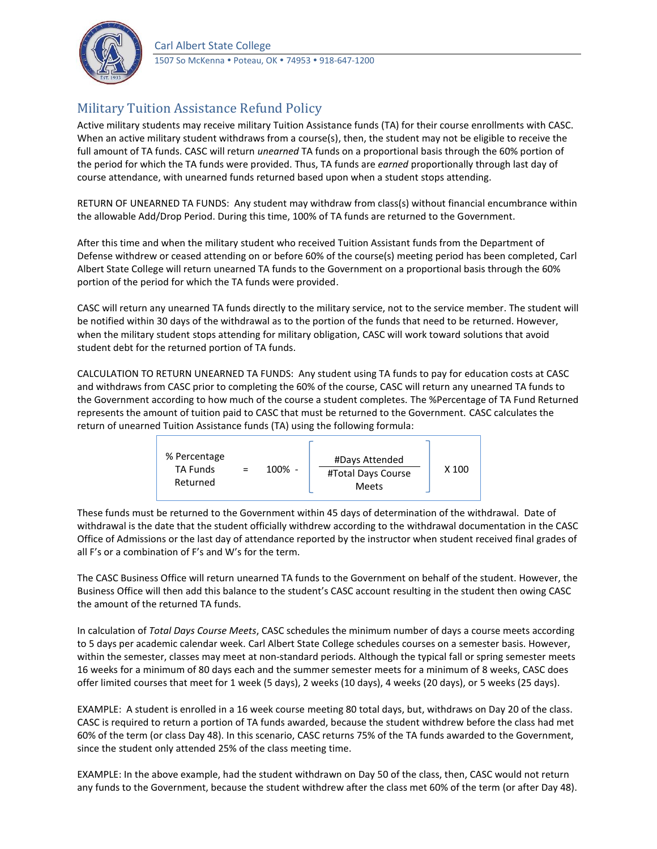

## Military Tuition Assistance Refund Policy

Active military students may receive military Tuition Assistance funds (TA) for their course enrollments with CASC. When an active military student withdraws from a course(s), then, the student may not be eligible to receive the full amount of TA funds. CASC will return *unearned* TA funds on a proportional basis through the 60% portion of the period for which the TA funds were provided. Thus, TA funds are *earned* proportionally through last day of course attendance, with unearned funds returned based upon when a student stops attending.

RETURN OF UNEARNED TA FUNDS: Any student may withdraw from class(s) without financial encumbrance within the allowable Add/Drop Period. During this time, 100% of TA funds are returned to the Government.

After this time and when the military student who received Tuition Assistant funds from the Department of Defense withdrew or ceased attending on or before 60% of the course(s) meeting period has been completed, Carl Albert State College will return unearned TA funds to the Government on a proportional basis through the 60% portion of the period for which the TA funds were provided.

CASC will return any unearned TA funds directly to the military service, not to the service member. The student will be notified within 30 days of the withdrawal as to the portion of the funds that need to be returned. However, when the military student stops attending for military obligation, CASC will work toward solutions that avoid student debt for the returned portion of TA funds.

CALCULATION TO RETURN UNEARNED TA FUNDS: Any student using TA funds to pay for education costs at CASC and withdraws from CASC prior to completing the 60% of the course, CASC will return any unearned TA funds to the Government according to how much of the course a student completes. The %Percentage of TA Fund Returned represents the amount of tuition paid to CASC that must be returned to the Government. CASC calculates the return of unearned Tuition Assistance funds (TA) using the following formula:



These funds must be returned to the Government within 45 days of determination of the withdrawal. Date of withdrawal is the date that the student officially withdrew according to the withdrawal documentation in the CASC Office of Admissions or the last day of attendance reported by the instructor when student received final grades of all F's or a combination of F's and W's for the term.

The CASC Business Office will return unearned TA funds to the Government on behalf of the student. However, the Business Office will then add this balance to the student's CASC account resulting in the student then owing CASC the amount of the returned TA funds.

In calculation of *Total Days Course Meets*, CASC schedules the minimum number of days a course meets according to 5 days per academic calendar week. Carl Albert State College schedules courses on a semester basis. However, within the semester, classes may meet at non-standard periods. Although the typical fall or spring semester meets 16 weeks for a minimum of 80 days each and the summer semester meets for a minimum of 8 weeks, CASC does offer limited courses that meet for 1 week (5 days), 2 weeks (10 days), 4 weeks (20 days), or 5 weeks (25 days).

EXAMPLE: A student is enrolled in a 16 week course meeting 80 total days, but, withdraws on Day 20 of the class. CASC is required to return a portion of TA funds awarded, because the student withdrew before the class had met 60% of the term (or class Day 48). In this scenario, CASC returns 75% of the TA funds awarded to the Government, since the student only attended 25% of the class meeting time.

EXAMPLE: In the above example, had the student withdrawn on Day 50 of the class, then, CASC would not return any funds to the Government, because the student withdrew after the class met 60% of the term (or after Day 48).